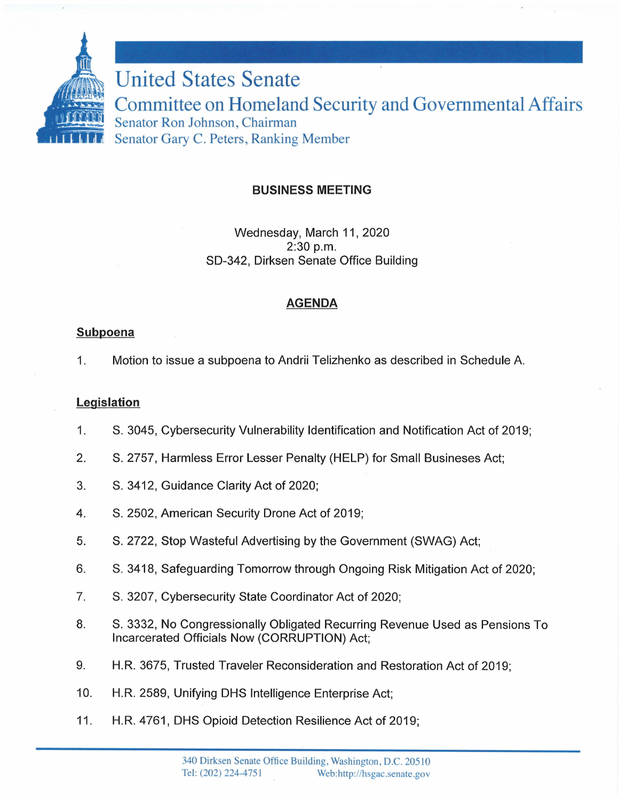

# **BUSINESS MEETING**

Wednesday, March 11, 2020 2:30 p.m. SD-342, Dirksen Senate Office Building

### **AGENDA**

### **Subpoena**

1. Motion to issue a subpoena to Andrii Telizhenko as described in Schedule A.

# **Legislation**

- 1. S. 3045, Cybersecurity Vulnerability Identification and Notification Act of 2019;
- 2. S. 2757, Harmless Error Lesser Penalty (HELP) for Small Busineses Act;
- 3. S. 3412, Guidance Clarity Act of 2020;
- 4. S. 2502, American Security Drone Act of 2019;
- 5. S. 2722, Stop Wasteful Advertising by the Government (SWAG) Act;
- 6. S. 3418, Safeguarding Tomorrow through Ongoing Risk Mitigation Act of 2020;
- 7. S. 3207, Cybersecurity State Coordinator Act of 2020;
- 8. S. 3332, No Congressionally Obligated Recurring Revenue Used as Pensions To Incarcerated Officials Now (CORRUPTION) Act;
- 9. H.R. 3675, Trusted Traveler Reconsideration and Restoration Act of 2019;
- 10. H.R. 2589, Unifying OHS Intelligence Enterprise Act;
- 11. H.R. 4761, OHS Opioid Detection Resilience Act of 2019;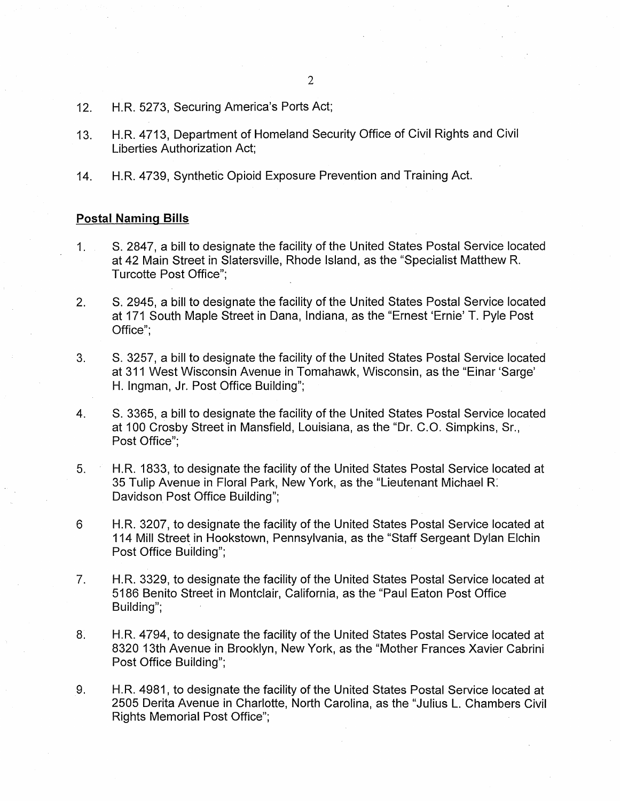- 12. H.R. 5273, Securing America's Ports Act;
- 13. H.R. 4713, Department of Homeland Security Office of Civil Rights and Civil Liberties Authorization Act;
- 14. H.R. 4739, Synthetic Opioid Exposure Prevention and Training Act.

#### **Postal Naming Bills**

- 1. S. 2847, a bill to designate the facility of the United States Postal Service located at 42 Main Street in Slatersville, Rhode Island, as the "Specialist Matthew R. Turcotte Post Office";
- 2. S. 2945, a bill to designate the facility of the United States Postal Service located at 171 South Maple Street in Dana, Indiana, as the "Ernest 'Ernie' T. Pyle Post Office";
- 3. S. 3257, a bill to designate the facility of the United States Postal Service located at 311 West Wisconsin Avenue in Tomahawk, Wisconsin, as the "Einar 'Sarge' H. lngman, Jr. Post Office Building";
- 4. S. 3365, a bill to designate the facility of the United States Postal Service located at 100 Crosby Street in Mansfield, Louisiana, as the "Dr. C.O. Simpkins, Sr., Post Office";
- 5. H.R. 1833, to designate the facility of the United States Postal Service located at 35 Tulip Avenue in Floral Park, New York, as the "Lieutenant Michael R: Davidson Post Office Building";
- 6 H.R. 3207, to designate the facility of the United States Postal Service located at 114 Mill Street in Hookstown, Pennsylvania, as the "Staff Sergeant Dylan Elchin Post Office Building";
- 7. H.R. 3329, to designate the facility of the United States Postal Service located at 5186 Benito Street in Montclair, California, as the "Paul Eaton Post Office Building";
- 8. H.R. 4794, to designate the facility of the United States Postal Service located at 8320 13th Avenue in Brooklyn, New York, as the "Mother Frances Xavier Cabrini Post Office Building";
- 9. H.R. 4981, to designate the facility of the United States Postal Service located at 2505 Derita Avenue in Charlotte, North Carolina, as the "Julius L. Chambers Civil Rights Memorial Post Office";